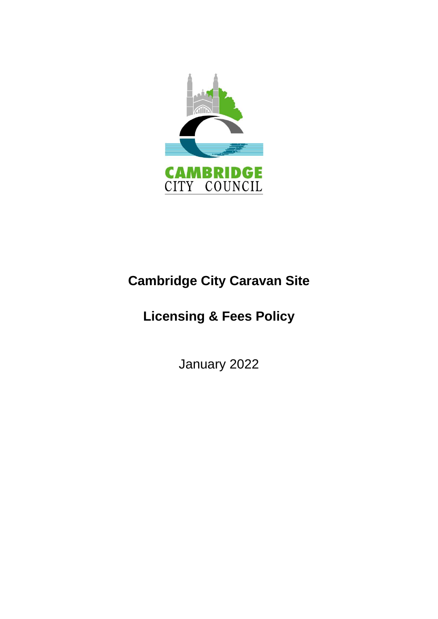

# **Cambridge City Caravan Site**

# **Licensing & Fees Policy**

January 2022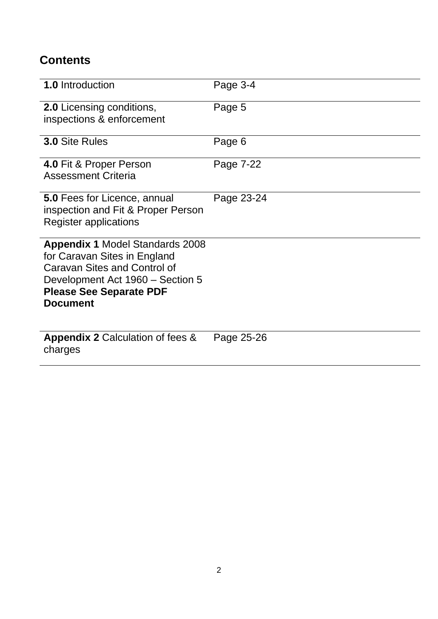# **Contents**

| <b>1.0</b> Introduction                                                                                                                                                                                | Page 3-4   |
|--------------------------------------------------------------------------------------------------------------------------------------------------------------------------------------------------------|------------|
| <b>2.0</b> Licensing conditions,<br>inspections & enforcement                                                                                                                                          | Page 5     |
| <b>3.0 Site Rules</b>                                                                                                                                                                                  | Page 6     |
| 4.0 Fit & Proper Person<br><b>Assessment Criteria</b>                                                                                                                                                  | Page 7-22  |
| <b>5.0 Fees for Licence, annual</b><br>inspection and Fit & Proper Person<br><b>Register applications</b>                                                                                              | Page 23-24 |
| <b>Appendix 1 Model Standards 2008</b><br>for Caravan Sites in England<br><b>Caravan Sites and Control of</b><br>Development Act 1960 – Section 5<br><b>Please See Separate PDF</b><br><b>Document</b> |            |
| <b>Appendix 2 Calculation of fees &amp;</b><br>charges                                                                                                                                                 | Page 25-26 |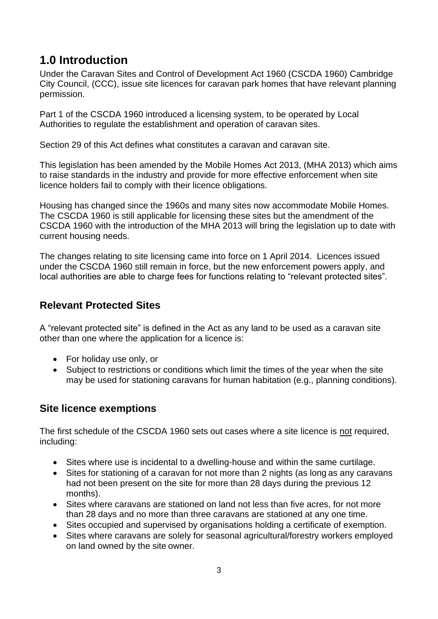# <span id="page-2-0"></span>**1.0 Introduction**

Under the Caravan Sites and Control of Development Act 1960 (CSCDA 1960) Cambridge City Council, (CCC), issue site licences for caravan park homes that have relevant planning permission.

Part 1 of the CSCDA 1960 introduced a licensing system, to be operated by Local Authorities to regulate the establishment and operation of caravan sites.

Section 29 of this Act defines what constitutes a caravan and caravan site.

This legislation has been amended by the Mobile Homes Act 2013, (MHA 2013) which aims to raise standards in the industry and provide for more effective enforcement when site licence holders fail to comply with their licence obligations.

Housing has changed since the 1960s and many sites now accommodate Mobile Homes. The CSCDA 1960 is still applicable for licensing these sites but the amendment of the CSCDA 1960 with the introduction of the MHA 2013 will bring the legislation up to date with current housing needs.

The changes relating to site licensing came into force on 1 April 2014. Licences issued under the CSCDA 1960 still remain in force, but the new enforcement powers apply, and local authorities are able to charge fees for functions relating to "relevant protected sites".

### **Relevant Protected Sites**

A "relevant protected site" is defined in the Act as any land to be used as a caravan site other than one where the application for a licence is:

- For holiday use only, or
- Subject to restrictions or conditions which limit the times of the year when the site may be used for stationing caravans for human habitation (e.g., planning conditions).

### **Site licence exemptions**

The first schedule of the CSCDA 1960 sets out cases where a site licence is not required, including:

- Sites where use is incidental to a dwelling-house and within the same curtilage.
- Sites for stationing of a caravan for not more than 2 nights (as long as any caravans had not been present on the site for more than 28 days during the previous 12 months).
- Sites where caravans are stationed on land not less than five acres, for not more than 28 days and no more than three caravans are stationed at any one time.
- Sites occupied and supervised by organisations holding a certificate of exemption.
- Sites where caravans are solely for seasonal agricultural/forestry workers employed on land owned by the site owner.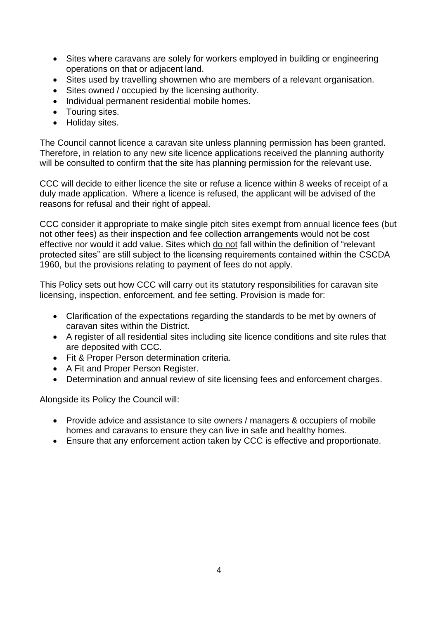- Sites where caravans are solely for workers employed in building or engineering operations on that or adjacent land.
- Sites used by travelling showmen who are members of a relevant organisation.
- Sites owned / occupied by the licensing authority.
- Individual permanent residential mobile homes.
- Touring sites.
- Holiday sites.

The Council cannot licence a caravan site unless planning permission has been granted. Therefore, in relation to any new site licence applications received the planning authority will be consulted to confirm that the site has planning permission for the relevant use.

CCC will decide to either licence the site or refuse a licence within 8 weeks of receipt of a duly made application. Where a licence is refused, the applicant will be advised of the reasons for refusal and their right of appeal.

CCC consider it appropriate to make single pitch sites exempt from annual licence fees (but not other fees) as their inspection and fee collection arrangements would not be cost effective nor would it add value. Sites which do not fall within the definition of "relevant protected sites" are still subject to the licensing requirements contained within the CSCDA 1960, but the provisions relating to payment of fees do not apply.

This Policy sets out how CCC will carry out its statutory responsibilities for caravan site licensing, inspection, enforcement, and fee setting. Provision is made for:

- Clarification of the expectations regarding the standards to be met by owners of caravan sites within the District.
- A register of all residential sites including site licence conditions and site rules that are deposited with CCC.
- Fit & Proper Person determination criteria.
- A Fit and Proper Person Register.
- Determination and annual review of site licensing fees and enforcement charges.

Alongside its Policy the Council will:

- Provide advice and assistance to site owners / managers & occupiers of mobile homes and caravans to ensure they can live in safe and healthy homes.
- Ensure that any enforcement action taken by CCC is effective and proportionate.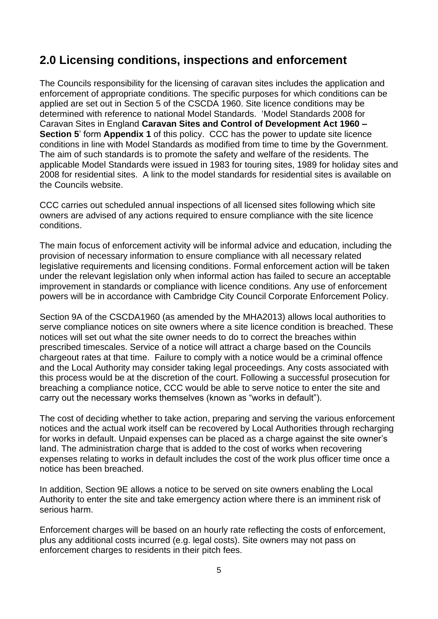# <span id="page-4-0"></span>**2.0 Licensing conditions, inspections and enforcement**

The Councils responsibility for the licensing of caravan sites includes the application and enforcement of appropriate conditions. The specific purposes for which conditions can be applied are set out in Section 5 of the CSCDA 1960. Site licence conditions may be determined with reference to national Model Standards. 'Model Standards 2008 for Caravan Sites in England **Caravan Sites and Control of Development Act 1960 – Section 5**' form **Appendix 1** of this policy. CCC has the power to update site licence conditions in line with Model Standards as modified from time to time by the Government. The aim of such standards is to promote the safety and welfare of the residents. The applicable Model Standards were issued in 1983 for touring sites, 1989 for holiday sites and 2008 for residential sites. A link to the model standards for residential sites is available on the Councils website.

CCC carries out scheduled annual inspections of all licensed sites following which site owners are advised of any actions required to ensure compliance with the site licence conditions.

The main focus of enforcement activity will be informal advice and education, including the provision of necessary information to ensure compliance with all necessary related legislative requirements and licensing conditions. Formal enforcement action will be taken under the relevant legislation only when informal action has failed to secure an acceptable improvement in standards or compliance with licence conditions. Any use of enforcement powers will be in accordance with Cambridge City Council Corporate Enforcement Policy.

Section 9A of the CSCDA1960 (as amended by the MHA2013) allows local authorities to serve compliance notices on site owners where a site licence condition is breached. These notices will set out what the site owner needs to do to correct the breaches within prescribed timescales. Service of a notice will attract a charge based on the Councils chargeout rates at that time. Failure to comply with a notice would be a criminal offence and the Local Authority may consider taking legal proceedings. Any costs associated with this process would be at the discretion of the court. Following a successful prosecution for breaching a compliance notice, CCC would be able to serve notice to enter the site and carry out the necessary works themselves (known as "works in default").

The cost of deciding whether to take action, preparing and serving the various enforcement notices and the actual work itself can be recovered by Local Authorities through recharging for works in default. Unpaid expenses can be placed as a charge against the site owner's land. The administration charge that is added to the cost of works when recovering expenses relating to works in default includes the cost of the work plus officer time once a notice has been breached.

In addition, Section 9E allows a notice to be served on site owners enabling the Local Authority to enter the site and take emergency action where there is an imminent risk of serious harm.

Enforcement charges will be based on an hourly rate reflecting the costs of enforcement, plus any additional costs incurred (e.g. legal costs). Site owners may not pass on enforcement charges to residents in their pitch fees.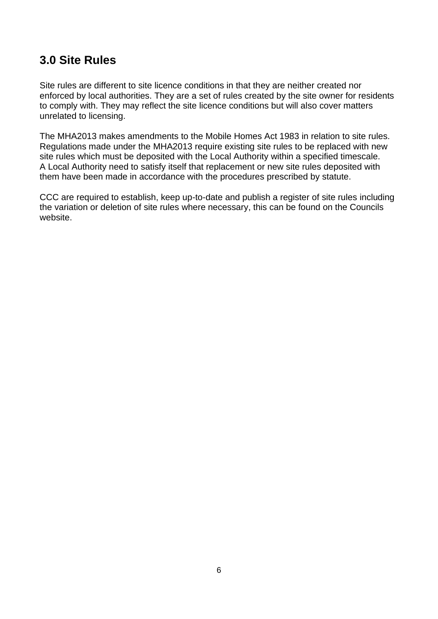# <span id="page-5-0"></span>**3.0 Site Rules**

Site rules are different to site licence conditions in that they are neither created nor enforced by local authorities. They are a set of rules created by the site owner for residents to comply with. They may reflect the site licence conditions but will also cover matters unrelated to licensing.

The MHA2013 makes amendments to the Mobile Homes Act 1983 in relation to site rules. Regulations made under the MHA2013 require existing site rules to be replaced with new site rules which must be deposited with the Local Authority within a specified timescale. A Local Authority need to satisfy itself that replacement or new site rules deposited with them have been made in accordance with the procedures prescribed by statute.

CCC are required to establish, keep up-to-date and publish a register of site rules including the variation or deletion of site rules where necessary, this can be found on the Councils website.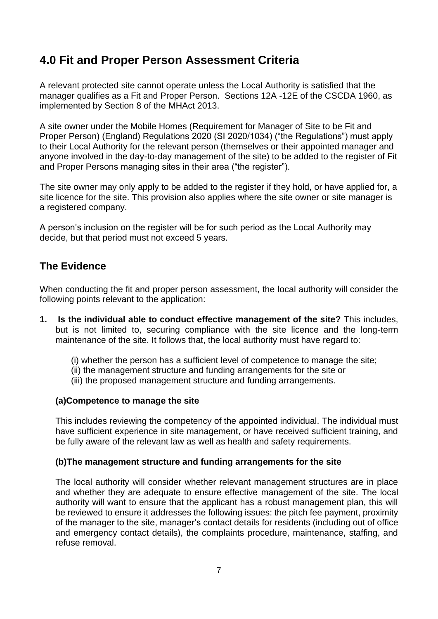# <span id="page-6-0"></span>**4.0 Fit and Proper Person Assessment Criteria**

A relevant protected site cannot operate unless the Local Authority is satisfied that the manager qualifies as a Fit and Proper Person. Sections 12A -12E of the CSCDA 1960, as implemented by Section 8 of the MHAct 2013.

A site owner under the Mobile Homes (Requirement for Manager of Site to be Fit and Proper Person) (England) Regulations 2020 (SI 2020/1034) ("the Regulations") must apply to their Local Authority for the relevant person (themselves or their appointed manager and anyone involved in the day-to-day management of the site) to be added to the register of Fit and Proper Persons managing sites in their area ("the register").

The site owner may only apply to be added to the register if they hold, or have applied for, a site licence for the site. This provision also applies where the site owner or site manager is a registered company.

A person's inclusion on the register will be for such period as the Local Authority may decide, but that period must not exceed 5 years.

### **The Evidence**

When conducting the fit and proper person assessment, the local authority will consider the following points relevant to the application:

- **1. Is the individual able to conduct effective management of the site?** This includes, but is not limited to, securing compliance with the site licence and the long-term maintenance of the site. It follows that, the local authority must have regard to:
	- (i) whether the person has a sufficient level of competence to manage the site;
	- (ii) the management structure and funding arrangements for the site or
	- (iii) the proposed management structure and funding arrangements.

#### **(a)Competence to manage the site**

This includes reviewing the competency of the appointed individual. The individual must have sufficient experience in site management, or have received sufficient training, and be fully aware of the relevant law as well as health and safety requirements.

#### **(b)The management structure and funding arrangements for the site**

The local authority will consider whether relevant management structures are in place and whether they are adequate to ensure effective management of the site. The local authority will want to ensure that the applicant has a robust management plan, this will be reviewed to ensure it addresses the following issues: the pitch fee payment, proximity of the manager to the site, manager's contact details for residents (including out of office and emergency contact details), the complaints procedure, maintenance, staffing, and refuse removal.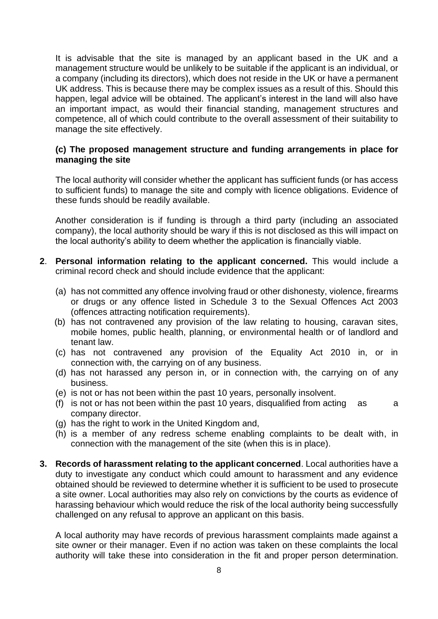It is advisable that the site is managed by an applicant based in the UK and a management structure would be unlikely to be suitable if the applicant is an individual, or a company (including its directors), which does not reside in the UK or have a permanent UK address. This is because there may be complex issues as a result of this. Should this happen, legal advice will be obtained. The applicant's interest in the land will also have an important impact, as would their financial standing, management structures and competence, all of which could contribute to the overall assessment of their suitability to manage the site effectively.

#### **(c) The proposed management structure and funding arrangements in place for managing the site**

The local authority will consider whether the applicant has sufficient funds (or has access to sufficient funds) to manage the site and comply with licence obligations. Evidence of these funds should be readily available.

Another consideration is if funding is through a third party (including an associated company), the local authority should be wary if this is not disclosed as this will impact on the local authority's ability to deem whether the application is financially viable.

- **2**. **Personal information relating to the applicant concerned.** This would include a criminal record check and should include evidence that the applicant:
	- (a) has not committed any offence involving fraud or other dishonesty, violence, firearms or drugs or any offence listed in Schedule 3 to the Sexual Offences Act 2003 (offences attracting notification requirements).
	- (b) has not contravened any provision of the law relating to housing, caravan sites, mobile homes, public health, planning, or environmental health or of landlord and tenant law.
	- (c) has not contravened any provision of the Equality Act 2010 in, or in connection with, the carrying on of any business.
	- (d) has not harassed any person in, or in connection with, the carrying on of any business.
	- (e) is not or has not been within the past 10 years, personally insolvent.
	- (f) is not or has not been within the past 10 years, disqualified from acting  $\alpha$  as a company director.
	- (g) has the right to work in the United Kingdom and,
	- (h) is a member of any redress scheme enabling complaints to be dealt with, in connection with the management of the site (when this is in place).
- **3. Records of harassment relating to the applicant concerned**. Local authorities have a duty to investigate any conduct which could amount to harassment and any evidence obtained should be reviewed to determine whether it is sufficient to be used to prosecute a site owner. Local authorities may also rely on convictions by the courts as evidence of harassing behaviour which would reduce the risk of the local authority being successfully challenged on any refusal to approve an applicant on this basis.

A local authority may have records of previous harassment complaints made against a site owner or their manager. Even if no action was taken on these complaints the local authority will take these into consideration in the fit and proper person determination.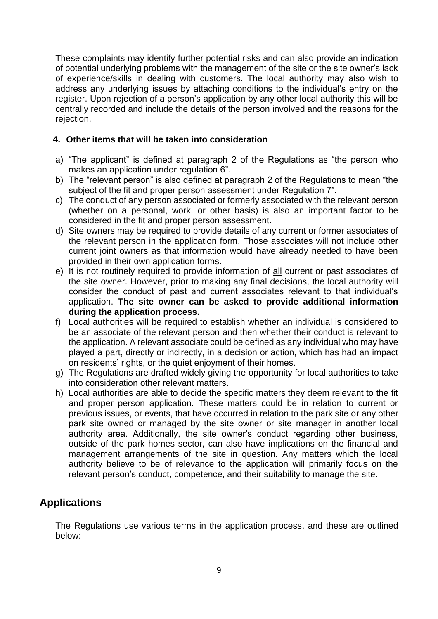These complaints may identify further potential risks and can also provide an indication of potential underlying problems with the management of the site or the site owner's lack of experience/skills in dealing with customers. The local authority may also wish to address any underlying issues by attaching conditions to the individual's entry on the register. Upon rejection of a person's application by any other local authority this will be centrally recorded and include the details of the person involved and the reasons for the rejection.

#### **4. Other items that will be taken into consideration**

- a) "The applicant" is defined at paragraph 2 of the Regulations as "the person who makes an application under regulation 6".
- b) The "relevant person" is also defined at paragraph 2 of the Regulations to mean "the subject of the fit and proper person assessment under Regulation 7".
- c) The conduct of any person associated or formerly associated with the relevant person (whether on a personal, work, or other basis) is also an important factor to be considered in the fit and proper person assessment.
- d) Site owners may be required to provide details of any current or former associates of the relevant person in the application form. Those associates will not include other current joint owners as that information would have already needed to have been provided in their own application forms.
- e) It is not routinely required to provide information of all current or past associates of the site owner. However, prior to making any final decisions, the local authority will consider the conduct of past and current associates relevant to that individual's application. **The site owner can be asked to provide additional information during the application process.**
- f) Local authorities will be required to establish whether an individual is considered to be an associate of the relevant person and then whether their conduct is relevant to the application. A relevant associate could be defined as any individual who may have played a part, directly or indirectly, in a decision or action, which has had an impact on residents' rights, or the quiet enjoyment of their homes.
- g) The Regulations are drafted widely giving the opportunity for local authorities to take into consideration other relevant matters.
- h) Local authorities are able to decide the specific matters they deem relevant to the fit and proper person application. These matters could be in relation to current or previous issues, or events, that have occurred in relation to the park site or any other park site owned or managed by the site owner or site manager in another local authority area. Additionally, the site owner's conduct regarding other business, outside of the park homes sector, can also have implications on the financial and management arrangements of the site in question. Any matters which the local authority believe to be of relevance to the application will primarily focus on the relevant person's conduct, competence, and their suitability to manage the site.

## **Applications**

The Regulations use various terms in the application process, and these are outlined below: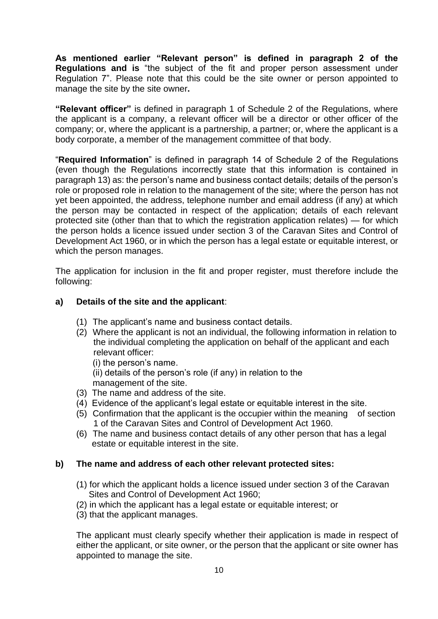**As mentioned earlier "Relevant person" is defined in paragraph 2 of the Regulations and is** "the subject of the fit and proper person assessment under Regulation 7". Please note that this could be the site owner or person appointed to manage the site by the site owner**.** 

**"Relevant officer"** is defined in paragraph 1 of Schedule 2 of the Regulations, where the applicant is a company, a relevant officer will be a director or other officer of the company; or, where the applicant is a partnership, a partner; or, where the applicant is a body corporate, a member of the management committee of that body.

"**Required Information**" is defined in paragraph 14 of Schedule 2 of the Regulations (even though the Regulations incorrectly state that this information is contained in paragraph 13) as: the person's name and business contact details; details of the person's role or proposed role in relation to the management of the site; where the person has not yet been appointed, the address, telephone number and email address (if any) at which the person may be contacted in respect of the application; details of each relevant protected site (other than that to which the registration application relates) — for which the person holds a licence issued under section 3 of the Caravan Sites and Control of Development Act 1960, or in which the person has a legal estate or equitable interest, or which the person manages.

The application for inclusion in the fit and proper register, must therefore include the following:

#### **a) Details of the site and the applicant**:

- (1) The applicant's name and business contact details.
- (2) Where the applicant is not an individual, the following information in relation to the individual completing the application on behalf of the applicant and each relevant officer:

(i) the person's name. (ii) details of the person's role (if any) in relation to the management of the site.

- (3) The name and address of the site.
- (4) Evidence of the applicant's legal estate or equitable interest in the site.
- (5) Confirmation that the applicant is the occupier within the meaning of section 1 of the Caravan Sites and Control of Development Act 1960.
- (6) The name and business contact details of any other person that has a legal estate or equitable interest in the site.

#### **b) The name and address of each other relevant protected sites:**

- (1) for which the applicant holds a licence issued under section 3 of the Caravan Sites and Control of Development Act 1960;
- (2) in which the applicant has a legal estate or equitable interest; or
- (3) that the applicant manages.

The applicant must clearly specify whether their application is made in respect of either the applicant, or site owner, or the person that the applicant or site owner has appointed to manage the site.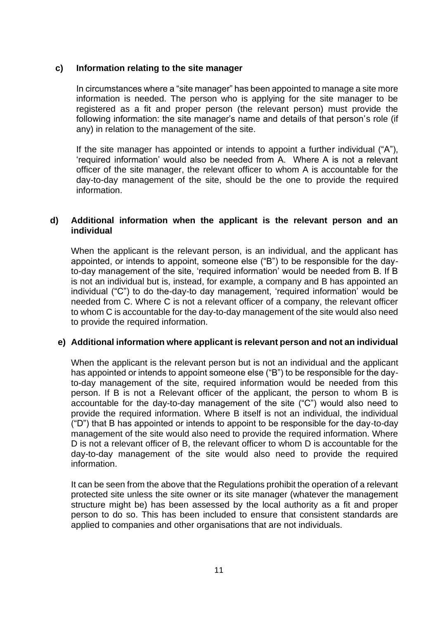#### **c) Information relating to the site manager**

In circumstances where a "site manager" has been appointed to manage a site more information is needed. The person who is applying for the site manager to be registered as a fit and proper person (the relevant person) must provide the following information: the site manager's name and details of that person's role (if any) in relation to the management of the site.

If the site manager has appointed or intends to appoint a further individual ("A"), 'required information' would also be needed from A. Where A is not a relevant officer of the site manager, the relevant officer to whom A is accountable for the day-to-day management of the site, should be the one to provide the required information.

#### **d) Additional information when the applicant is the relevant person and an individual**

When the applicant is the relevant person, is an individual, and the applicant has appointed, or intends to appoint, someone else ("B") to be responsible for the dayto-day management of the site, 'required information' would be needed from B. If B is not an individual but is, instead, for example, a company and B has appointed an individual ("C") to do the-day-to day management, 'required information' would be needed from C. Where C is not a relevant officer of a company, the relevant officer to whom C is accountable for the day-to-day management of the site would also need to provide the required information.

#### **e) Additional information where applicant is relevant person and not an individual**

When the applicant is the relevant person but is not an individual and the applicant has appointed or intends to appoint someone else ("B") to be responsible for the dayto-day management of the site, required information would be needed from this person. If B is not a Relevant officer of the applicant, the person to whom B is accountable for the day-to-day management of the site ("C") would also need to provide the required information. Where B itself is not an individual, the individual ( $"D"$ ) that B has appointed or intends to appoint to be responsible for the day-to-day management of the site would also need to provide the required information. Where D is not a relevant officer of B, the relevant officer to whom D is accountable for the day-to-day management of the site would also need to provide the required information.

It can be seen from the above that the Regulations prohibit the operation of a relevant protected site unless the site owner or its site manager (whatever the management structure might be) has been assessed by the local authority as a fit and proper person to do so. This has been included to ensure that consistent standards are applied to companies and other organisations that are not individuals.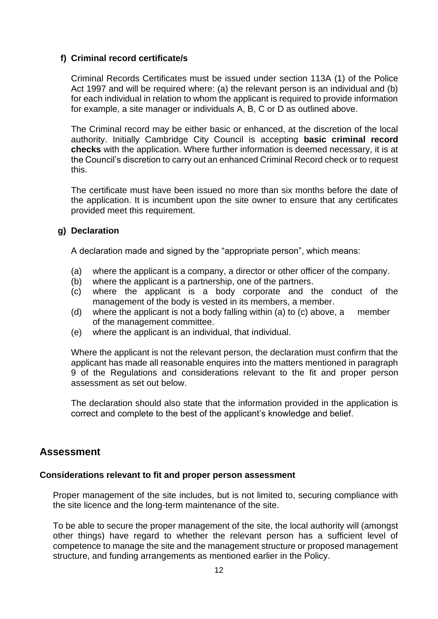#### **f) Criminal record certificate/s**

Criminal Records Certificates must be issued under section 113A (1) of the Police Act 1997 and will be required where: (a) the relevant person is an individual and (b) for each individual in relation to whom the applicant is required to provide information for example, a site manager or individuals A, B, C or D as outlined above.

The Criminal record may be either basic or enhanced, at the discretion of the local authority. Initially Cambridge City Council is accepting **basic criminal record checks** with the application. Where further information is deemed necessary, it is at the Council's discretion to carry out an enhanced Criminal Record check or to request this.

The certificate must have been issued no more than six months before the date of the application. It is incumbent upon the site owner to ensure that any certificates provided meet this requirement.

#### **g) Declaration**

A declaration made and signed by the "appropriate person", which means:

- (a) where the applicant is a company, a director or other officer of the company.
- (b) where the applicant is a partnership, one of the partners.
- (c) where the applicant is a body corporate and the conduct of the management of the body is vested in its members, a member.
- (d) where the applicant is not a body falling within (a) to (c) above, a member of the management committee.
- (e) where the applicant is an individual, that individual.

Where the applicant is not the relevant person, the declaration must confirm that the applicant has made all reasonable enquires into the matters mentioned in paragraph 9 of the Regulations and considerations relevant to the fit and proper person assessment as set out below.

The declaration should also state that the information provided in the application is correct and complete to the best of the applicant's knowledge and belief.

#### **Assessment**

#### **Considerations relevant to fit and proper person assessment**

Proper management of the site includes, but is not limited to, securing compliance with the site licence and the long-term maintenance of the site.

To be able to secure the proper management of the site, the local authority will (amongst other things) have regard to whether the relevant person has a sufficient level of competence to manage the site and the management structure or proposed management structure, and funding arrangements as mentioned earlier in the Policy.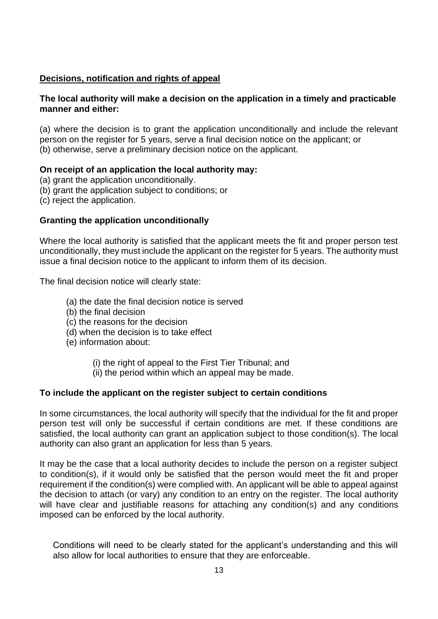#### **Decisions, notification and rights of appeal**

#### **The local authority will make a decision on the application in a timely and practicable manner and either:**

(a) where the decision is to grant the application unconditionally and include the relevant person on the register for 5 years, serve a final decision notice on the applicant; or (b) otherwise, serve a preliminary decision notice on the applicant.

#### **On receipt of an application the local authority may:**

- (a) grant the application unconditionally.
- (b) grant the application subject to conditions; or
- (c) reject the application.

#### **Granting the application unconditionally**

Where the local authority is satisfied that the applicant meets the fit and proper person test unconditionally, they must include the applicant on the register for 5 years. The authority must issue a final decision notice to the applicant to inform them of its decision.

The final decision notice will clearly state:

- (a) the date the final decision notice is served
- (b) the final decision
- (c) the reasons for the decision
- (d) when the decision is to take effect
- (e) information about:
	- (i) the right of appeal to the First Tier Tribunal; and
	- (ii) the period within which an appeal may be made.

#### **To include the applicant on the register subject to certain conditions**

In some circumstances, the local authority will specify that the individual for the fit and proper person test will only be successful if certain conditions are met. If these conditions are satisfied, the local authority can grant an application subject to those condition(s). The local authority can also grant an application for less than 5 years.

It may be the case that a local authority decides to include the person on a register subject to condition(s), if it would only be satisfied that the person would meet the fit and proper requirement if the condition(s) were complied with. An applicant will be able to appeal against the decision to attach (or vary) any condition to an entry on the register. The local authority will have clear and justifiable reasons for attaching any condition(s) and any conditions imposed can be enforced by the local authority.

Conditions will need to be clearly stated for the applicant's understanding and this will also allow for local authorities to ensure that they are enforceable.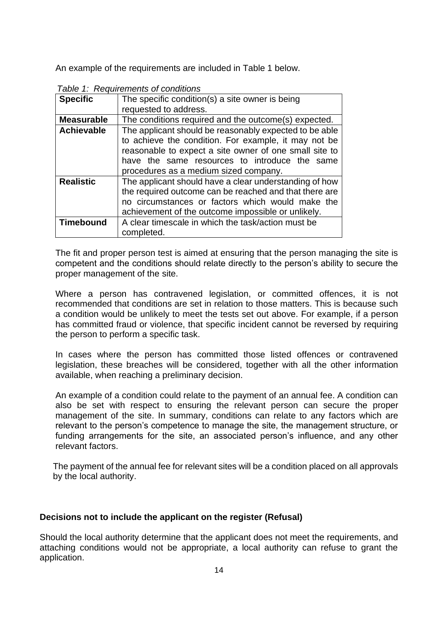An example of the requirements are included in Table 1 below.

| <b>Specific</b>   | The specific condition(s) a site owner is being        |  |  |  |
|-------------------|--------------------------------------------------------|--|--|--|
|                   | requested to address.                                  |  |  |  |
| <b>Measurable</b> | The conditions required and the outcome(s) expected.   |  |  |  |
| <b>Achievable</b> | The applicant should be reasonably expected to be able |  |  |  |
|                   | to achieve the condition. For example, it may not be   |  |  |  |
|                   | reasonable to expect a site owner of one small site to |  |  |  |
|                   | have the same resources to introduce the same          |  |  |  |
|                   | procedures as a medium sized company.                  |  |  |  |
| <b>Realistic</b>  | The applicant should have a clear understanding of how |  |  |  |
|                   | the required outcome can be reached and that there are |  |  |  |
|                   | no circumstances or factors which would make the       |  |  |  |
|                   | achievement of the outcome impossible or unlikely.     |  |  |  |
| <b>Timebound</b>  | A clear timescale in which the task/action must be     |  |  |  |
|                   | completed.                                             |  |  |  |

 *Table 1: Requirements of conditions* 

The fit and proper person test is aimed at ensuring that the person managing the site is competent and the conditions should relate directly to the person's ability to secure the proper management of the site.

Where a person has contravened legislation, or committed offences, it is not recommended that conditions are set in relation to those matters. This is because such a condition would be unlikely to meet the tests set out above. For example, if a person has committed fraud or violence, that specific incident cannot be reversed by requiring the person to perform a specific task.

In cases where the person has committed those listed offences or contravened legislation, these breaches will be considered, together with all the other information available, when reaching a preliminary decision.

An example of a condition could relate to the payment of an annual fee. A condition can also be set with respect to ensuring the relevant person can secure the proper management of the site. In summary, conditions can relate to any factors which are relevant to the person's competence to manage the site, the management structure, or funding arrangements for the site, an associated person's influence, and any other relevant factors.

The payment of the annual fee for relevant sites will be a condition placed on all approvals by the local authority.

#### **Decisions not to include the applicant on the register (Refusal)**

Should the local authority determine that the applicant does not meet the requirements, and attaching conditions would not be appropriate, a local authority can refuse to grant the application.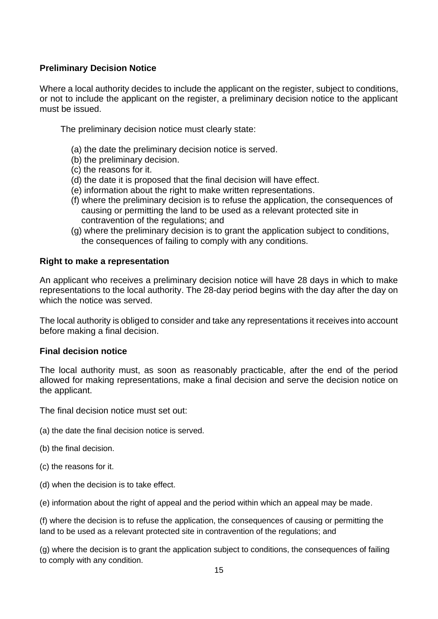#### **Preliminary Decision Notice**

Where a local authority decides to include the applicant on the register, subject to conditions, or not to include the applicant on the register, a preliminary decision notice to the applicant must be issued.

The preliminary decision notice must clearly state:

- (a) the date the preliminary decision notice is served.
- (b) the preliminary decision.
- (c) the reasons for it.
- (d) the date it is proposed that the final decision will have effect.
- (e) information about the right to make written representations.
- (f) where the preliminary decision is to refuse the application, the consequences of causing or permitting the land to be used as a relevant protected site in contravention of the regulations; and
- (g) where the preliminary decision is to grant the application subject to conditions, the consequences of failing to comply with any conditions.

#### **Right to make a representation**

An applicant who receives a preliminary decision notice will have 28 days in which to make representations to the local authority. The 28-day period begins with the day after the day on which the notice was served.

The local authority is obliged to consider and take any representations it receives into account before making a final decision.

#### **Final decision notice**

The local authority must, as soon as reasonably practicable, after the end of the period allowed for making representations, make a final decision and serve the decision notice on the applicant.

The final decision notice must set out:

- (a) the date the final decision notice is served.
- (b) the final decision.
- (c) the reasons for it.
- (d) when the decision is to take effect.
- (e) information about the right of appeal and the period within which an appeal may be made.

(f) where the decision is to refuse the application, the consequences of causing or permitting the land to be used as a relevant protected site in contravention of the regulations; and

(g) where the decision is to grant the application subject to conditions, the consequences of failing to comply with any condition.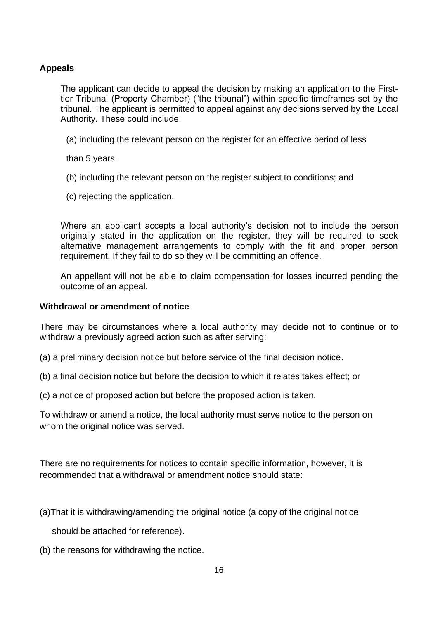#### **Appeals**

The applicant can decide to appeal the decision by making an application to the Firsttier Tribunal (Property Chamber) ("the tribunal") within specific timeframes set by the tribunal. The applicant is permitted to appeal against any decisions served by the Local Authority. These could include:

(a) including the relevant person on the register for an effective period of less

than 5 years.

- (b) including the relevant person on the register subject to conditions; and
- (c) rejecting the application.

Where an applicant accepts a local authority's decision not to include the person originally stated in the application on the register, they will be required to seek alternative management arrangements to comply with the fit and proper person requirement. If they fail to do so they will be committing an offence.

An appellant will not be able to claim compensation for losses incurred pending the outcome of an appeal.

#### **Withdrawal or amendment of notice**

There may be circumstances where a local authority may decide not to continue or to withdraw a previously agreed action such as after serving:

- (a) a preliminary decision notice but before service of the final decision notice.
- (b) a final decision notice but before the decision to which it relates takes effect; or
- (c) a notice of proposed action but before the proposed action is taken.

To withdraw or amend a notice, the local authority must serve notice to the person on whom the original notice was served.

There are no requirements for notices to contain specific information, however, it is recommended that a withdrawal or amendment notice should state:

(a)That it is withdrawing/amending the original notice (a copy of the original notice

should be attached for reference).

(b) the reasons for withdrawing the notice.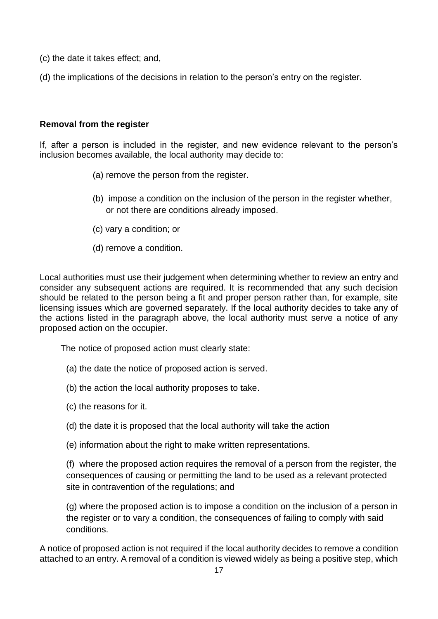- (c) the date it takes effect; and,
- (d) the implications of the decisions in relation to the person's entry on the register.

#### **Removal from the register**

If, after a person is included in the register, and new evidence relevant to the person's inclusion becomes available, the local authority may decide to:

- (a) remove the person from the register.
- (b) impose a condition on the inclusion of the person in the register whether, or not there are conditions already imposed.
- (c) vary a condition; or
- (d) remove a condition.

Local authorities must use their judgement when determining whether to review an entry and consider any subsequent actions are required. It is recommended that any such decision should be related to the person being a fit and proper person rather than, for example, site licensing issues which are governed separately. If the local authority decides to take any of the actions listed in the paragraph above, the local authority must serve a notice of any proposed action on the occupier.

The notice of proposed action must clearly state:

- (a) the date the notice of proposed action is served.
- (b) the action the local authority proposes to take.
- (c) the reasons for it.
- (d) the date it is proposed that the local authority will take the action
- (e) information about the right to make written representations.

(f) where the proposed action requires the removal of a person from the register, the consequences of causing or permitting the land to be used as a relevant protected site in contravention of the regulations; and

(g) where the proposed action is to impose a condition on the inclusion of a person in the register or to vary a condition, the consequences of failing to comply with said conditions.

A notice of proposed action is not required if the local authority decides to remove a condition attached to an entry. A removal of a condition is viewed widely as being a positive step, which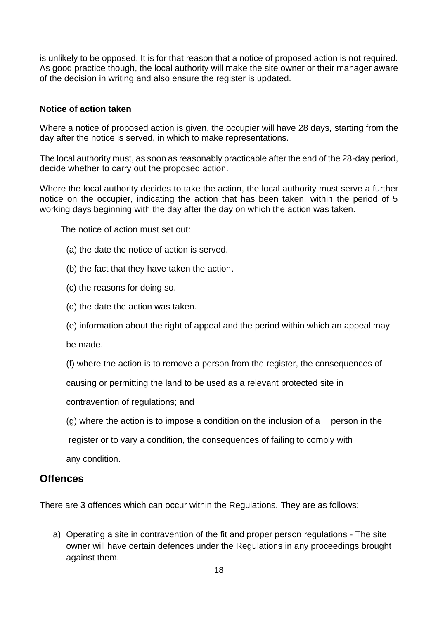is unlikely to be opposed. It is for that reason that a notice of proposed action is not required. As good practice though, the local authority will make the site owner or their manager aware of the decision in writing and also ensure the register is updated.

#### **Notice of action taken**

Where a notice of proposed action is given, the occupier will have 28 days, starting from the day after the notice is served, in which to make representations.

The local authority must, as soon as reasonably practicable after the end of the 28-day period, decide whether to carry out the proposed action.

Where the local authority decides to take the action, the local authority must serve a further notice on the occupier, indicating the action that has been taken, within the period of 5 working days beginning with the day after the day on which the action was taken.

The notice of action must set out:

- (a) the date the notice of action is served.
- (b) the fact that they have taken the action.
- (c) the reasons for doing so.
- (d) the date the action was taken.
- (e) information about the right of appeal and the period within which an appeal may

be made.

(f) where the action is to remove a person from the register, the consequences of

causing or permitting the land to be used as a relevant protected site in

contravention of regulations; and

 $(q)$  where the action is to impose a condition on the inclusion of a person in the

 register or to vary a condition, the consequences of failing to comply with any condition.

#### **Offences**

There are 3 offences which can occur within the Regulations. They are as follows:

a) Operating a site in contravention of the fit and proper person regulations - The site owner will have certain defences under the Regulations in any proceedings brought against them.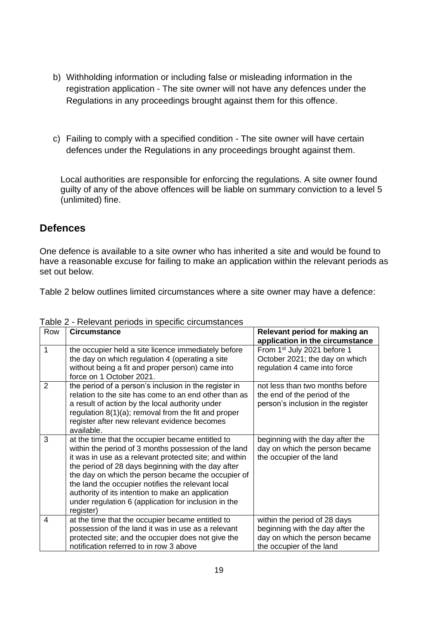- b) Withholding information or including false or misleading information in the registration application - The site owner will not have any defences under the Regulations in any proceedings brought against them for this offence.
- c) Failing to comply with a specified condition The site owner will have certain defences under the Regulations in any proceedings brought against them.

Local authorities are responsible for enforcing the regulations. A site owner found guilty of any of the above offences will be liable on summary conviction to a level 5 (unlimited) fine.

### **Defences**

One defence is available to a site owner who has inherited a site and would be found to have a reasonable excuse for failing to make an application within the relevant periods as set out below.

Table 2 below outlines limited circumstances where a site owner may have a defence:

| Row | <b>Circumstance</b>                                                                                                                                                                                                                                                                                                                                                                                                                                           | Relevant period for making an<br>application in the circumstance                                                               |
|-----|---------------------------------------------------------------------------------------------------------------------------------------------------------------------------------------------------------------------------------------------------------------------------------------------------------------------------------------------------------------------------------------------------------------------------------------------------------------|--------------------------------------------------------------------------------------------------------------------------------|
| 1   | the occupier held a site licence immediately before<br>the day on which regulation 4 (operating a site<br>without being a fit and proper person) came into<br>force on 1 October 2021.                                                                                                                                                                                                                                                                        | From 1 <sup>st</sup> July 2021 before 1<br>October 2021; the day on which<br>regulation 4 came into force                      |
| 2   | the period of a person's inclusion in the register in<br>relation to the site has come to an end other than as<br>a result of action by the local authority under<br>regulation $8(1)(a)$ ; removal from the fit and proper<br>register after new relevant evidence becomes<br>available.                                                                                                                                                                     | not less than two months before<br>the end of the period of the<br>person's inclusion in the register                          |
| 3   | at the time that the occupier became entitled to<br>within the period of 3 months possession of the land<br>it was in use as a relevant protected site; and within<br>the period of 28 days beginning with the day after<br>the day on which the person became the occupier of<br>the land the occupier notifies the relevant local<br>authority of its intention to make an application<br>under regulation 6 (application for inclusion in the<br>register) | beginning with the day after the<br>day on which the person became<br>the occupier of the land                                 |
| 4   | at the time that the occupier became entitled to<br>possession of the land it was in use as a relevant<br>protected site; and the occupier does not give the<br>notification referred to in row 3 above                                                                                                                                                                                                                                                       | within the period of 28 days<br>beginning with the day after the<br>day on which the person became<br>the occupier of the land |

Table 2 - Relevant periods in specific circumstances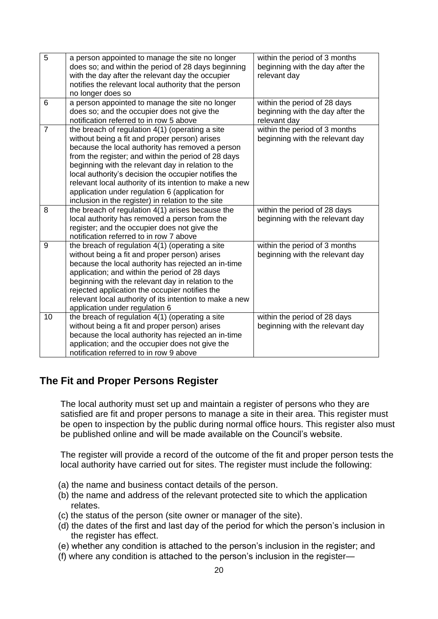| 5              | a person appointed to manage the site no longer<br>does so; and within the period of 28 days beginning<br>with the day after the relevant day the occupier<br>notifies the relevant local authority that the person<br>no longer does so                                                                                                                                                                                                                                                      | within the period of 3 months<br>beginning with the day after the<br>relevant day |
|----------------|-----------------------------------------------------------------------------------------------------------------------------------------------------------------------------------------------------------------------------------------------------------------------------------------------------------------------------------------------------------------------------------------------------------------------------------------------------------------------------------------------|-----------------------------------------------------------------------------------|
| 6              | a person appointed to manage the site no longer<br>does so; and the occupier does not give the<br>notification referred to in row 5 above                                                                                                                                                                                                                                                                                                                                                     | within the period of 28 days<br>beginning with the day after the<br>relevant day  |
| $\overline{7}$ | the breach of regulation 4(1) (operating a site<br>without being a fit and proper person) arises<br>because the local authority has removed a person<br>from the register; and within the period of 28 days<br>beginning with the relevant day in relation to the<br>local authority's decision the occupier notifies the<br>relevant local authority of its intention to make a new<br>application under regulation 6 (application for<br>inclusion in the register) in relation to the site | within the period of 3 months<br>beginning with the relevant day                  |
| 8              | the breach of regulation $4(1)$ arises because the<br>local authority has removed a person from the<br>register; and the occupier does not give the<br>notification referred to in row 7 above                                                                                                                                                                                                                                                                                                | within the period of 28 days<br>beginning with the relevant day                   |
| 9              | the breach of regulation 4(1) (operating a site<br>without being a fit and proper person) arises<br>because the local authority has rejected an in-time<br>application; and within the period of 28 days<br>beginning with the relevant day in relation to the<br>rejected application the occupier notifies the<br>relevant local authority of its intention to make a new<br>application under regulation 6                                                                                 | within the period of 3 months<br>beginning with the relevant day                  |
| 10             | the breach of regulation 4(1) (operating a site<br>without being a fit and proper person) arises<br>because the local authority has rejected an in-time<br>application; and the occupier does not give the<br>notification referred to in row 9 above                                                                                                                                                                                                                                         | within the period of 28 days<br>beginning with the relevant day                   |

## **The Fit and Proper Persons Register**

The local authority must set up and maintain a register of persons who they are satisfied are fit and proper persons to manage a site in their area. This register must be open to inspection by the public during normal office hours. This register also must be published online and will be made available on the Council's website.

The register will provide a record of the outcome of the fit and proper person tests the local authority have carried out for sites. The register must include the following:

- (a) the name and business contact details of the person.
- (b) the name and address of the relevant protected site to which the application relates.
- (c) the status of the person (site owner or manager of the site).
- (d) the dates of the first and last day of the period for which the person's inclusion in the register has effect.
- (e) whether any condition is attached to the person's inclusion in the register; and
- (f) where any condition is attached to the person's inclusion in the register—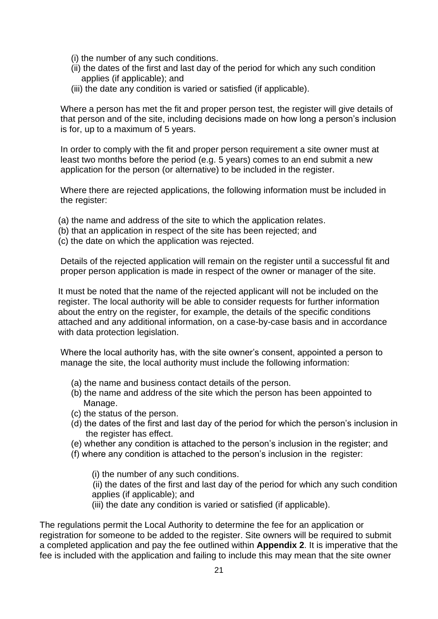- (i) the number of any such conditions.
- (ii) the dates of the first and last day of the period for which any such condition applies (if applicable); and
- (iii) the date any condition is varied or satisfied (if applicable).

Where a person has met the fit and proper person test, the register will give details of that person and of the site, including decisions made on how long a person's inclusion is for, up to a maximum of 5 years.

In order to comply with the fit and proper person requirement a site owner must at least two months before the period (e.g. 5 years) comes to an end submit a new application for the person (or alternative) to be included in the register.

Where there are rejected applications, the following information must be included in the register:

- (a) the name and address of the site to which the application relates.
- (b) that an application in respect of the site has been rejected; and
- (c) the date on which the application was rejected.

Details of the rejected application will remain on the register until a successful fit and proper person application is made in respect of the owner or manager of the site.

It must be noted that the name of the rejected applicant will not be included on the register. The local authority will be able to consider requests for further information about the entry on the register, for example, the details of the specific conditions attached and any additional information, on a case-by-case basis and in accordance with data protection legislation.

Where the local authority has, with the site owner's consent, appointed a person to manage the site, the local authority must include the following information:

- (a) the name and business contact details of the person.
- (b) the name and address of the site which the person has been appointed to Manage.
- (c) the status of the person.
- (d) the dates of the first and last day of the period for which the person's inclusion in the register has effect.
- (e) whether any condition is attached to the person's inclusion in the register; and
- (f) where any condition is attached to the person's inclusion in the register:

(i) the number of any such conditions.

(ii) the dates of the first and last day of the period for which any such condition applies (if applicable); and

(iii) the date any condition is varied or satisfied (if applicable).

The regulations permit the Local Authority to determine the fee for an application or registration for someone to be added to the register. Site owners will be required to submit a completed application and pay the fee outlined within **Appendix 2**. It is imperative that the fee is included with the application and failing to include this may mean that the site owner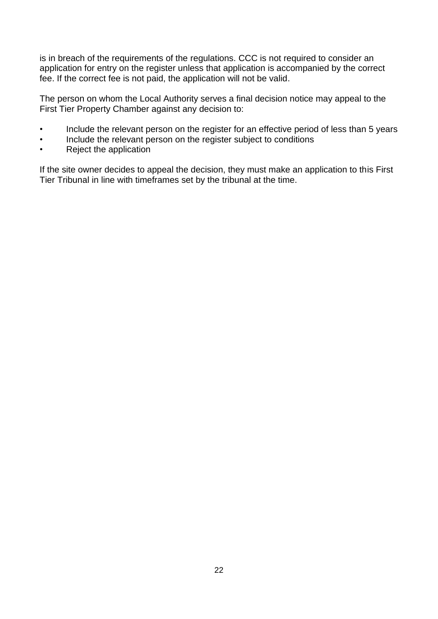is in breach of the requirements of the regulations. CCC is not required to consider an application for entry on the register unless that application is accompanied by the correct fee. If the correct fee is not paid, the application will not be valid.

The person on whom the Local Authority serves a final decision notice may appeal to the First Tier Property Chamber against any decision to:

- Include the relevant person on the register for an effective period of less than 5 years
- Include the relevant person on the register subject to conditions
- Reject the application

If the site owner decides to appeal the decision, they must make an application to this First Tier Tribunal in line with timeframes set by the tribunal at the time.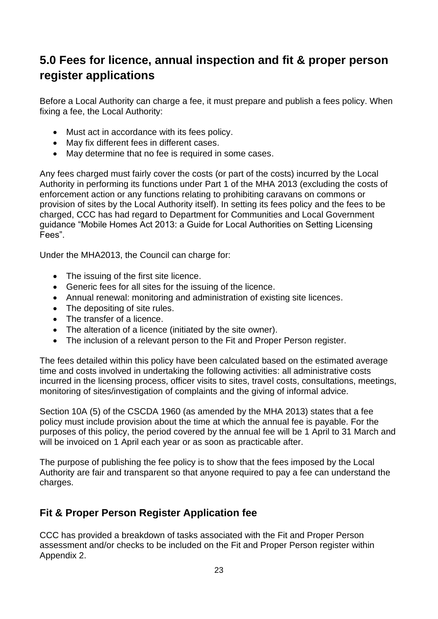# <span id="page-22-0"></span>**5.0 Fees for licence, annual inspection and fit & proper person register applications**

Before a Local Authority can charge a fee, it must prepare and publish a fees policy. When fixing a fee, the Local Authority:

- Must act in accordance with its fees policy.
- May fix different fees in different cases.
- May determine that no fee is required in some cases.

Any fees charged must fairly cover the costs (or part of the costs) incurred by the Local Authority in performing its functions under Part 1 of the MHA 2013 (excluding the costs of enforcement action or any functions relating to prohibiting caravans on commons or provision of sites by the Local Authority itself). In setting its fees policy and the fees to be charged, CCC has had regard to Department for Communities and Local Government guidance "Mobile Homes Act 2013: a Guide for Local Authorities on Setting Licensing Fees".

Under the MHA2013, the Council can charge for:

- The issuing of the first site licence.
- Generic fees for all sites for the issuing of the licence.
- Annual renewal: monitoring and administration of existing site licences.
- The depositing of site rules.
- The transfer of a licence.
- The alteration of a licence (initiated by the site owner).
- The inclusion of a relevant person to the Fit and Proper Person register.

The fees detailed within this policy have been calculated based on the estimated average time and costs involved in undertaking the following activities: all administrative costs incurred in the licensing process, officer visits to sites, travel costs, consultations, meetings, monitoring of sites/investigation of complaints and the giving of informal advice.

Section 10A (5) of the CSCDA 1960 (as amended by the MHA 2013) states that a fee policy must include provision about the time at which the annual fee is payable. For the purposes of this policy, the period covered by the annual fee will be 1 April to 31 March and will be invoiced on 1 April each year or as soon as practicable after.

The purpose of publishing the fee policy is to show that the fees imposed by the Local Authority are fair and transparent so that anyone required to pay a fee can understand the charges.

## **Fit & Proper Person Register Application fee**

CCC has provided a breakdown of tasks associated with the Fit and Proper Person assessment and/or checks to be included on the Fit and Proper Person register within Appendix 2.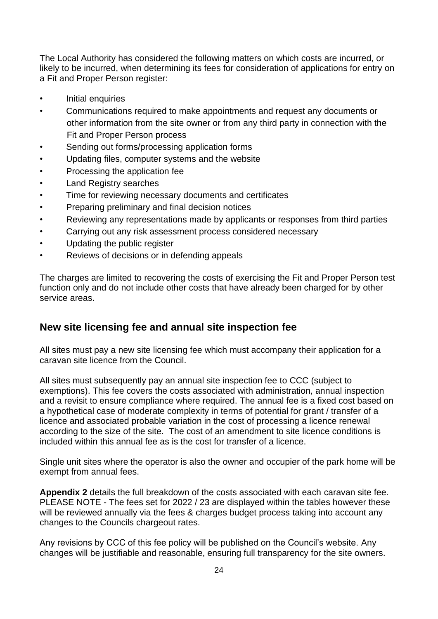The Local Authority has considered the following matters on which costs are incurred, or likely to be incurred, when determining its fees for consideration of applications for entry on a Fit and Proper Person register:

- Initial enquiries
- Communications required to make appointments and request any documents or other information from the site owner or from any third party in connection with the Fit and Proper Person process
- Sending out forms/processing application forms
- Updating files, computer systems and the website
- Processing the application fee
- Land Registry searches
- Time for reviewing necessary documents and certificates
- Preparing preliminary and final decision notices
- Reviewing any representations made by applicants or responses from third parties
- Carrying out any risk assessment process considered necessary
- Updating the public register
- Reviews of decisions or in defending appeals

The charges are limited to recovering the costs of exercising the Fit and Proper Person test function only and do not include other costs that have already been charged for by other service areas.

### **New site licensing fee and annual site inspection fee**

All sites must pay a new site licensing fee which must accompany their application for a caravan site licence from the Council.

All sites must subsequently pay an annual site inspection fee to CCC (subject to exemptions). This fee covers the costs associated with administration, annual inspection and a revisit to ensure compliance where required. The annual fee is a fixed cost based on a hypothetical case of moderate complexity in terms of potential for grant / transfer of a licence and associated probable variation in the cost of processing a licence renewal according to the size of the site. The cost of an amendment to site licence conditions is included within this annual fee as is the cost for transfer of a licence.

Single unit sites where the operator is also the owner and occupier of the park home will be exempt from annual fees.

**Appendix 2** details the full breakdown of the costs associated with each caravan site fee. PLEASE NOTE - The fees set for 2022 / 23 are displayed within the tables however these will be reviewed annually via the fees & charges budget process taking into account any changes to the Councils chargeout rates.

<span id="page-23-0"></span>Any revisions by CCC of this fee policy will be published on the Council's website. Any changes will be justifiable and reasonable, ensuring full transparency for the site owners.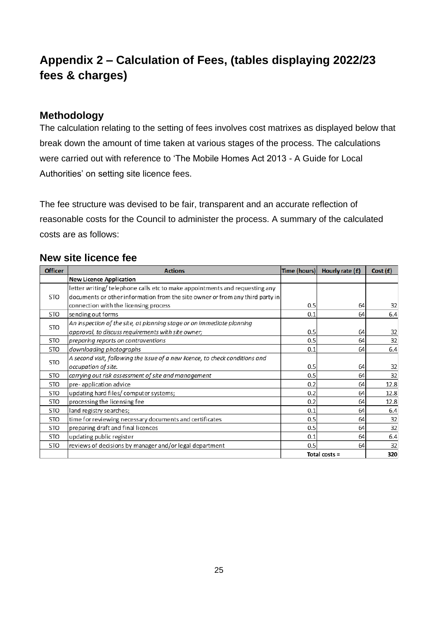# **Appendix 2 – Calculation of Fees, (tables displaying 2022/23 fees & charges)**

### **Methodology**

The calculation relating to the setting of fees involves cost matrixes as displayed below that break down the amount of time taken at various stages of the process. The calculations were carried out with reference to 'The Mobile Homes Act 2013 - A Guide for Local Authorities' on setting site licence fees.

The fee structure was devised to be fair, transparent and an accurate reflection of reasonable costs for the Council to administer the process. A summary of the calculated costs are as follows:

### **New site licence fee**

| <b>Officer</b> | <b>Actions</b>                                                                | Time (hours)  | Hourly rate $(f)$ | Cost(f) |
|----------------|-------------------------------------------------------------------------------|---------------|-------------------|---------|
|                | <b>New Licence Application</b>                                                |               |                   |         |
|                | letter writing/telephone calls etc to make appointments and requesting any    |               |                   |         |
| <b>STO</b>     | documents or other information from the site owner or from any third party in |               |                   |         |
|                | connection with the licensing process                                         | 0.5           | 64                | 32      |
| <b>STO</b>     | sending out forms                                                             | 0.1           | 64                | 6.4     |
| <b>STO</b>     | An inspection of the site, at planning stage or on immediate planning         |               |                   |         |
|                | approval, to discuss requirements with site owner;                            | 0.5           | 64                | 32      |
| <b>STO</b>     | preparing reports on contraventions                                           | 0.5           | 64                | 32      |
| <b>STO</b>     | downloading photographs                                                       | 0.1           | 64                | 6.4     |
|                | A second visit, following the issue of a new licence, to check conditions and |               |                   |         |
| <b>STO</b>     | occupation of site.                                                           | 0.5           | 64                | 32      |
| <b>STO</b>     | carrying out risk assessment of site and management                           | 0.5           | 64                | 32      |
| <b>STO</b>     | pre-application advice                                                        | 0.2           | 64                | 12.8    |
| <b>STO</b>     | updating hard files/computer systems;                                         | 0.2           | 64                | 12.8    |
| <b>STO</b>     | processing the licensing fee                                                  | 0.2           | 64                | 12.8    |
| <b>STO</b>     | land registry searches;                                                       | 0.1           | 64                | 6.4     |
| STO            | time for reviewing necessary documents and certificates                       | 0.5           | 64                | 32      |
| <b>STO</b>     | preparing draft and final licences                                            | 0.5           | 64                | 32      |
| <b>STO</b>     | updating public register                                                      | 0.1           | 64                | 6.4     |
| <b>STO</b>     | reviews of decisions by manager and/or legal department                       | 0.5           | 64                | 32      |
|                |                                                                               | Total costs = |                   | 320     |